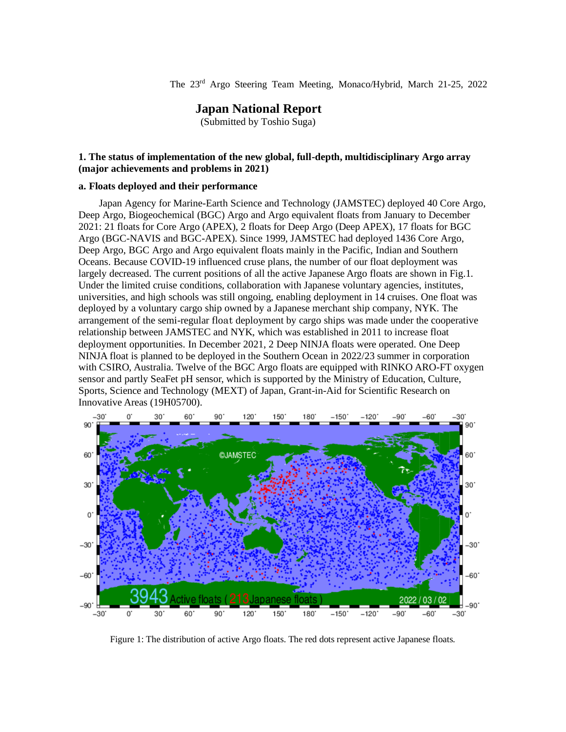The 23rd Argo Steering Team Meeting, Monaco/Hybrid, March 21-25, 2022

# **Japan National Report**

(Submitted by Toshio Suga)

## **1. The status of implementation of the new global, full-depth, multidisciplinary Argo array (major achievements and problems in 2021)**

#### **a. Floats deployed and their performance**

Japan Agency for Marine-Earth Science and Technology (JAMSTEC) deployed 40 Core Argo, Deep Argo, Biogeochemical (BGC) Argo and Argo equivalent floats from January to December 2021: 21 floats for Core Argo (APEX), 2 floats for Deep Argo (Deep APEX), 17 floats for BGC Argo (BGC-NAVIS and BGC-APEX). Since 1999, JAMSTEC had deployed 1436 Core Argo, Deep Argo, BGC Argo and Argo equivalent floats mainly in the Pacific, Indian and Southern Oceans. Because COVID-19 influenced cruse plans, the number of our float deployment was largely decreased. The current positions of all the active Japanese Argo floats are shown in Fig.1. Under the limited cruise conditions, collaboration with Japanese voluntary agencies, institutes, universities, and high schools was still ongoing, enabling deployment in 14 cruises. One float was deployed by a voluntary cargo ship owned by a Japanese merchant ship company, NYK. The arrangement of the semi-regular float deployment by cargo ships was made under the cooperative relationship between JAMSTEC and NYK, which was established in 2011 to increase float deployment opportunities. In December 2021, 2 Deep NINJA floats were operated. One Deep NINJA float is planned to be deployed in the Southern Ocean in 2022/23 summer in corporation with CSIRO, Australia. Twelve of the BGC Argo floats are equipped with RINKO ARO-FT oxygen sensor and partly SeaFet pH sensor, which is supported by the Ministry of Education, Culture, Sports, Science and Technology (MEXT) of Japan, Grant-in-Aid for Scientific Research on Innovative Areas (19H05700).



Figure 1: The distribution of active Argo floats. The red dots represent active Japanese floats.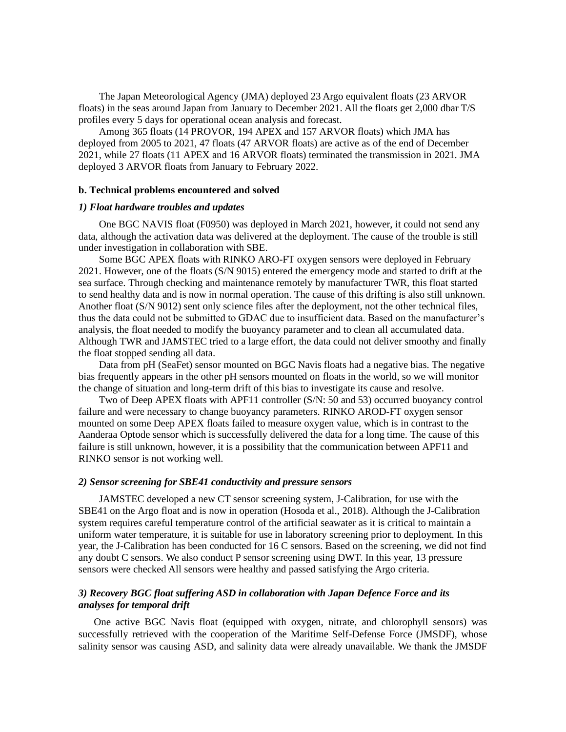The Japan Meteorological Agency (JMA) deployed 23 Argo equivalent floats (23 ARVOR floats) in the seas around Japan from January to December 2021. All the floats get 2,000 dbar T/S profiles every 5 days for operational ocean analysis and forecast.

Among 365 floats (14 PROVOR, 194 APEX and 157 ARVOR floats) which JMA has deployed from 2005 to 2021, 47 floats (47 ARVOR floats) are active as of the end of December 2021, while 27 floats (11 APEX and 16 ARVOR floats) terminated the transmission in 2021. JMA deployed 3 ARVOR floats from January to February 2022.

#### **b. Technical problems encountered and solved**

## *1) Float hardware troubles and updates*

One BGC NAVIS float (F0950) was deployed in March 2021, however, it could not send any data, although the activation data was delivered at the deployment. The cause of the trouble is still under investigation in collaboration with SBE.

Some BGC APEX floats with RINKO ARO-FT oxygen sensors were deployed in February 2021. However, one of the floats (S/N 9015) entered the emergency mode and started to drift at the sea surface. Through checking and maintenance remotely by manufacturer TWR, this float started to send healthy data and is now in normal operation. The cause of this drifting is also still unknown. Another float (S/N 9012) sent only science files after the deployment, not the other technical files, thus the data could not be submitted to GDAC due to insufficient data. Based on the manufacturer's analysis, the float needed to modify the buoyancy parameter and to clean all accumulated data. Although TWR and JAMSTEC tried to a large effort, the data could not deliver smoothy and finally the float stopped sending all data.

Data from pH (SeaFet) sensor mounted on BGC Navis floats had a negative bias. The negative bias frequently appears in the other pH sensors mounted on floats in the world, so we will monitor the change of situation and long-term drift of this bias to investigate its cause and resolve.

Two of Deep APEX floats with APF11 controller (S/N: 50 and 53) occurred buoyancy control failure and were necessary to change buoyancy parameters. RINKO AROD-FT oxygen sensor mounted on some Deep APEX floats failed to measure oxygen value, which is in contrast to the Aanderaa Optode sensor which is successfully delivered the data for a long time. The cause of this failure is still unknown, however, it is a possibility that the communication between APF11 and RINKO sensor is not working well.

#### *2) Sensor screening for SBE41 conductivity and pressure sensors*

JAMSTEC developed a new CT sensor screening system, J-Calibration, for use with the SBE41 on the Argo float and is now in operation (Hosoda et al., 2018). Although the J-Calibration system requires careful temperature control of the artificial seawater as it is critical to maintain a uniform water temperature, it is suitable for use in laboratory screening prior to deployment. In this year, the J-Calibration has been conducted for 16 C sensors. Based on the screening, we did not find any doubt C sensors. We also conduct P sensor screening using DWT. In this year, 13 pressure sensors were checked All sensors were healthy and passed satisfying the Argo criteria.

## *3) Recovery BGC float suffering ASD in collaboration with Japan Defence Force and its analyses for temporal drift*

One active BGC Navis float (equipped with oxygen, nitrate, and chlorophyll sensors) was successfully retrieved with the cooperation of the Maritime Self-Defense Force (JMSDF), whose salinity sensor was causing ASD, and salinity data were already unavailable. We thank the JMSDF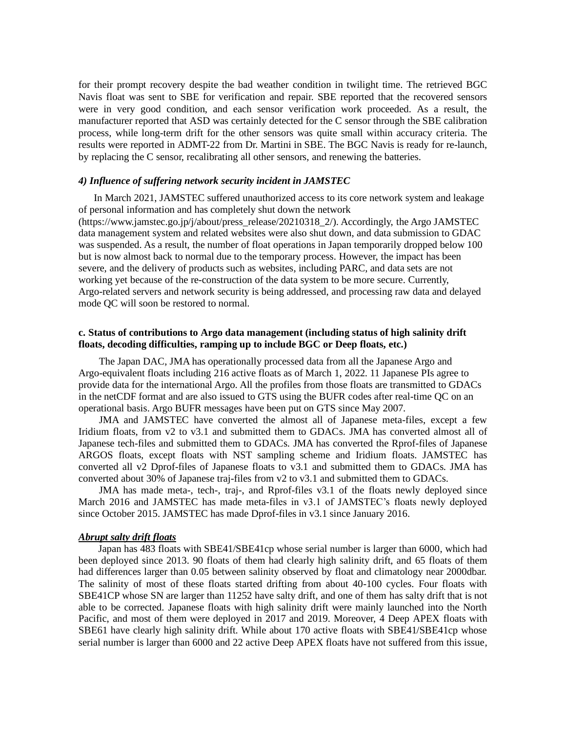for their prompt recovery despite the bad weather condition in twilight time. The retrieved BGC Navis float was sent to SBE for verification and repair. SBE reported that the recovered sensors were in very good condition, and each sensor verification work proceeded. As a result, the manufacturer reported that ASD was certainly detected for the C sensor through the SBE calibration process, while long-term drift for the other sensors was quite small within accuracy criteria. The results were reported in ADMT-22 from Dr. Martini in SBE. The BGC Navis is ready for re-launch, by replacing the C sensor, recalibrating all other sensors, and renewing the batteries.

#### *4) Influence of suffering network security incident in JAMSTEC*

In March 2021, JAMSTEC suffered unauthorized access to its core network system and leakage of personal information and has completely shut down the network (https://www.jamstec.go.jp/j/about/press\_release/20210318\_2/). Accordingly, the Argo JAMSTEC data management system and related websites were also shut down, and data submission to GDAC was suspended. As a result, the number of float operations in Japan temporarily dropped below 100 but is now almost back to normal due to the temporary process. However, the impact has been severe, and the delivery of products such as websites, including PARC, and data sets are not working yet because of the re-construction of the data system to be more secure. Currently, Argo-related servers and network security is being addressed, and processing raw data and delayed mode QC will soon be restored to normal.

## **c. Status of contributions to Argo data management (including status of high salinity drift floats, decoding difficulties, ramping up to include BGC or Deep floats, etc.)**

The Japan DAC, JMA has operationally processed data from all the Japanese Argo and Argo-equivalent floats including 216 active floats as of March 1, 2022. 11 Japanese PIs agree to provide data for the international Argo. All the profiles from those floats are transmitted to GDACs in the netCDF format and are also issued to GTS using the BUFR codes after real-time QC on an operational basis. Argo BUFR messages have been put on GTS since May 2007.

JMA and JAMSTEC have converted the almost all of Japanese meta-files, except a few Iridium floats, from v2 to v3.1 and submitted them to GDACs. JMA has converted almost all of Japanese tech-files and submitted them to GDACs. JMA has converted the Rprof-files of Japanese ARGOS floats, except floats with NST sampling scheme and Iridium floats. JAMSTEC has converted all v2 Dprof-files of Japanese floats to v3.1 and submitted them to GDACs. JMA has converted about 30% of Japanese traj-files from v2 to v3.1 and submitted them to GDACs.

JMA has made meta-, tech-, traj-, and Rprof-files v3.1 of the floats newly deployed since March 2016 and JAMSTEC has made meta-files in v3.1 of JAMSTEC's floats newly deployed since October 2015. JAMSTEC has made Dprof-files in v3.1 since January 2016.

#### *Abrupt salty drift floats*

Japan has 483 floats with SBE41/SBE41cp whose serial number is larger than 6000, which had been deployed since 2013. 90 floats of them had clearly high salinity drift, and 65 floats of them had differences larger than 0.05 between salinity observed by float and climatology near 2000dbar. The salinity of most of these floats started drifting from about 40-100 cycles. Four floats with SBE41CP whose SN are larger than 11252 have salty drift, and one of them has salty drift that is not able to be corrected. Japanese floats with high salinity drift were mainly launched into the North Pacific, and most of them were deployed in 2017 and 2019. Moreover, 4 Deep APEX floats with SBE61 have clearly high salinity drift. While about 170 active floats with SBE41/SBE41cp whose serial number is larger than 6000 and 22 active Deep APEX floats have not suffered from this issue,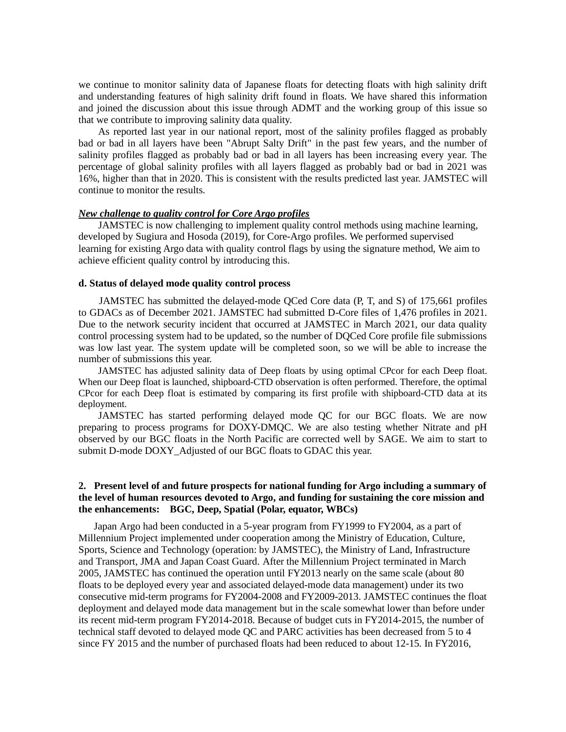we continue to monitor salinity data of Japanese floats for detecting floats with high salinity drift and understanding features of high salinity drift found in floats. We have shared this information and joined the discussion about this issue through ADMT and the working group of this issue so that we contribute to improving salinity data quality.

As reported last year in our national report, most of the salinity profiles flagged as probably bad or bad in all layers have been "Abrupt Salty Drift" in the past few years, and the number of salinity profiles flagged as probably bad or bad in all layers has been increasing every year. The percentage of global salinity profiles with all layers flagged as probably bad or bad in 2021 was 16%, higher than that in 2020. This is consistent with the results predicted last year. JAMSTEC will continue to monitor the results.

## *New challenge to quality control for Core Argo profiles*

JAMSTEC is now challenging to implement quality control methods using machine learning, developed by Sugiura and Hosoda (2019), for Core-Argo profiles. We performed supervised learning for existing Argo data with quality control flags by using the signature method, We aim to achieve efficient quality control by introducing this.

## **d. Status of delayed mode quality control process**

JAMSTEC has submitted the delayed-mode QCed Core data (P, T, and S) of 175,661 profiles to GDACs as of December 2021. JAMSTEC had submitted D-Core files of 1,476 profiles in 2021. Due to the network security incident that occurred at JAMSTEC in March 2021, our data quality control processing system had to be updated, so the number of DQCed Core profile file submissions was low last year. The system update will be completed soon, so we will be able to increase the number of submissions this year.

JAMSTEC has adjusted salinity data of Deep floats by using optimal CPcor for each Deep float. When our Deep float is launched, shipboard-CTD observation is often performed. Therefore, the optimal CPcor for each Deep float is estimated by comparing its first profile with shipboard-CTD data at its deployment.

JAMSTEC has started performing delayed mode QC for our BGC floats. We are now preparing to process programs for DOXY-DMQC. We are also testing whether Nitrate and pH observed by our BGC floats in the North Pacific are corrected well by SAGE. We aim to start to submit D-mode DOXY Adjusted of our BGC floats to GDAC this year.

## **2. Present level of and future prospects for national funding for Argo including a summary of the level of human resources devoted to Argo, and funding for sustaining the core mission and the enhancements: BGC, Deep, Spatial (Polar, equator, WBCs)**

 Japan Argo had been conducted in a 5-year program from FY1999 to FY2004, as a part of Millennium Project implemented under cooperation among the Ministry of Education, Culture, Sports, Science and Technology (operation: by JAMSTEC), the Ministry of Land, Infrastructure and Transport, JMA and Japan Coast Guard. After the Millennium Project terminated in March 2005, JAMSTEC has continued the operation until FY2013 nearly on the same scale (about 80 floats to be deployed every year and associated delayed-mode data management) under its two consecutive mid-term programs for FY2004-2008 and FY2009-2013. JAMSTEC continues the float deployment and delayed mode data management but in the scale somewhat lower than before under its recent mid-term program FY2014-2018. Because of budget cuts in FY2014-2015, the number of technical staff devoted to delayed mode QC and PARC activities has been decreased from 5 to 4 since FY 2015 and the number of purchased floats had been reduced to about 12-15. In FY2016,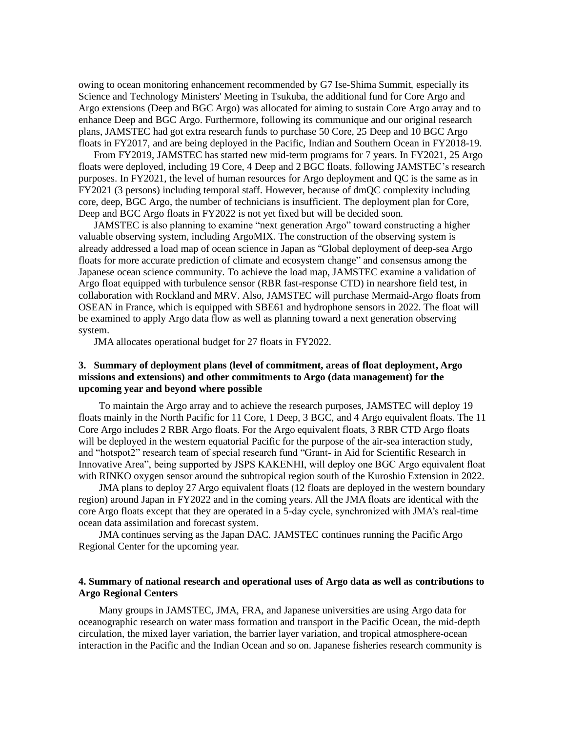owing to ocean monitoring enhancement recommended by G7 Ise-Shima Summit, especially its Science and Technology Ministers' Meeting in Tsukuba, the additional fund for Core Argo and Argo extensions (Deep and BGC Argo) was allocated for aiming to sustain Core Argo array and to enhance Deep and BGC Argo. Furthermore, following its communique and our original research plans, JAMSTEC had got extra research funds to purchase 50 Core, 25 Deep and 10 BGC Argo floats in FY2017, and are being deployed in the Pacific, Indian and Southern Ocean in FY2018-19.

From FY2019, JAMSTEC has started new mid-term programs for 7 years. In FY2021, 25 Argo floats were deployed, including 19 Core, 4 Deep and 2 BGC floats, following JAMSTEC's research purposes. In FY2021, the level of human resources for Argo deployment and QC is the same as in FY2021 (3 persons) including temporal staff. However, because of dmQC complexity including core, deep, BGC Argo, the number of technicians is insufficient. The deployment plan for Core, Deep and BGC Argo floats in FY2022 is not yet fixed but will be decided soon.

JAMSTEC is also planning to examine "next generation Argo" toward constructing a higher valuable observing system, including ArgoMIX. The construction of the observing system is already addressed a load map of ocean science in Japan as "Global deployment of deep-sea Argo floats for more accurate prediction of climate and ecosystem change" and consensus among the Japanese ocean science community. To achieve the load map, JAMSTEC examine a validation of Argo float equipped with turbulence sensor (RBR fast-response CTD) in nearshore field test, in collaboration with Rockland and MRV. Also, JAMSTEC will purchase Mermaid-Argo floats from OSEAN in France, which is equipped with SBE61 and hydrophone sensors in 2022. The float will be examined to apply Argo data flow as well as planning toward a next generation observing system.

JMA allocates operational budget for 27 floats in FY2022.

# **3. Summary of deployment plans (level of commitment, areas of float deployment, Argo missions and extensions) and other commitments to Argo (data management) for the upcoming year and beyond where possible**

To maintain the Argo array and to achieve the research purposes, JAMSTEC will deploy 19 floats mainly in the North Pacific for 11 Core, 1 Deep, 3 BGC, and 4 Argo equivalent floats. The 11 Core Argo includes 2 RBR Argo floats. For the Argo equivalent floats, 3 RBR CTD Argo floats will be deployed in the western equatorial Pacific for the purpose of the air-sea interaction study, and "hotspot2" research team of special research fund "Grant- in Aid for Scientific Research in Innovative Area", being supported by JSPS KAKENHI, will deploy one BGC Argo equivalent float with RINKO oxygen sensor around the subtropical region south of the Kuroshio Extension in 2022.

JMA plans to deploy 27 Argo equivalent floats (12 floats are deployed in the western boundary region) around Japan in FY2022 and in the coming years. All the JMA floats are identical with the core Argo floats except that they are operated in a 5-day cycle, synchronized with JMA's real-time ocean data assimilation and forecast system.

JMA continues serving as the Japan DAC. JAMSTEC continues running the Pacific Argo Regional Center for the upcoming year.

## **4. Summary of national research and operational uses of Argo data as well as contributions to Argo Regional Centers**

Many groups in JAMSTEC, JMA, FRA, and Japanese universities are using Argo data for oceanographic research on water mass formation and transport in the Pacific Ocean, the mid-depth circulation, the mixed layer variation, the barrier layer variation, and tropical atmosphere-ocean interaction in the Pacific and the Indian Ocean and so on. Japanese fisheries research community is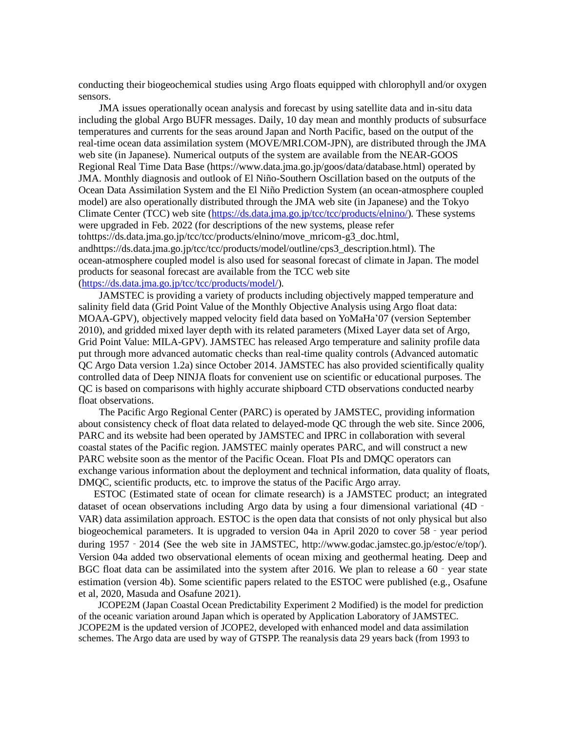conducting their biogeochemical studies using Argo floats equipped with chlorophyll and/or oxygen sensors.

JMA issues operationally ocean analysis and forecast by using satellite data and in-situ data including the global Argo BUFR messages. Daily, 10 day mean and monthly products of subsurface temperatures and currents for the seas around Japan and North Pacific, based on the output of the real-time ocean data assimilation system (MOVE/MRI.COM-JPN), are distributed through the JMA web site (in Japanese). Numerical outputs of the system are available from the NEAR-GOOS Regional Real Time Data Base (https://www.data.jma.go.jp/goos/data/database.html) operated by JMA. Monthly diagnosis and outlook of El Niño-Southern Oscillation based on the outputs of the Ocean Data Assimilation System and the El Niño Prediction System (an ocean-atmosphere coupled model) are also operationally distributed through the JMA web site (in Japanese) and the Tokyo Climate Center (TCC) web site [\(https://ds.data.jma.go.jp/tcc/tcc/products/elnino/\)](https://ds.data.jma.go.jp/tcc/tcc/products/elnino/). These systems were upgraded in Feb. 2022 (for descriptions of the new systems, please refer tohttps://ds.data.jma.go.jp/tcc/tcc/products/elnino/move\_mricom-g3\_doc.html, andhttps://ds.data.jma.go.jp/tcc/tcc/products/model/outline/cps3\_description.html). The ocean-atmosphere coupled model is also used for seasonal forecast of climate in Japan. The model products for seasonal forecast are available from the TCC web site [\(https://ds.data.jma.go.jp/tcc/tcc/products/model/\)](https://ds.data.jma.go.jp/tcc/tcc/products/model/).

JAMSTEC is providing a variety of products including objectively mapped temperature and salinity field data (Grid Point Value of the Monthly Objective Analysis using Argo float data: MOAA-GPV), objectively mapped velocity field data based on YoMaHa'07 (version September 2010), and gridded mixed layer depth with its related parameters (Mixed Layer data set of Argo, Grid Point Value: MILA-GPV). JAMSTEC has released Argo temperature and salinity profile data put through more advanced automatic checks than real-time quality controls (Advanced automatic QC Argo Data version 1.2a) since October 2014. JAMSTEC has also provided scientifically quality controlled data of Deep NINJA floats for convenient use on scientific or educational purposes. The QC is based on comparisons with highly accurate shipboard CTD observations conducted nearby float observations.

The Pacific Argo Regional Center (PARC) is operated by JAMSTEC, providing information about consistency check of float data related to delayed-mode QC through the web site. Since 2006, PARC and its website had been operated by JAMSTEC and IPRC in collaboration with several coastal states of the Pacific region. JAMSTEC mainly operates PARC, and will construct a new PARC website soon as the mentor of the Pacific Ocean. Float PIs and DMQC operators can exchange various information about the deployment and technical information, data quality of floats, DMQC, scientific products, etc. to improve the status of the Pacific Argo array.

ESTOC (Estimated state of ocean for climate research) is a JAMSTEC product; an integrated dataset of ocean observations including Argo data by using a four dimensional variational (4D – VAR) data assimilation approach. ESTOC is the open data that consists of not only physical but also biogeochemical parameters. It is upgraded to version 04a in April 2020 to cover 58 - year period during 1957 - 2014 (See the web site in JAMSTEC, http://www.godac.jamstec.go.jp/estoc/e/top/). Version 04a added two observational elements of ocean mixing and geothermal heating. Deep and BGC float data can be assimilated into the system after 2016. We plan to release a 60 - year state estimation (version 4b). Some scientific papers related to the ESTOC were published (e.g., Osafune et al, 2020, Masuda and Osafune 2021).

JCOPE2M (Japan Coastal Ocean Predictability Experiment 2 Modified) is the model for prediction of the oceanic variation around Japan which is operated by Application Laboratory of JAMSTEC. JCOPE2M is the updated version of JCOPE2, developed with enhanced model and data assimilation schemes. The Argo data are used by way of GTSPP. The reanalysis data 29 years back (from 1993 to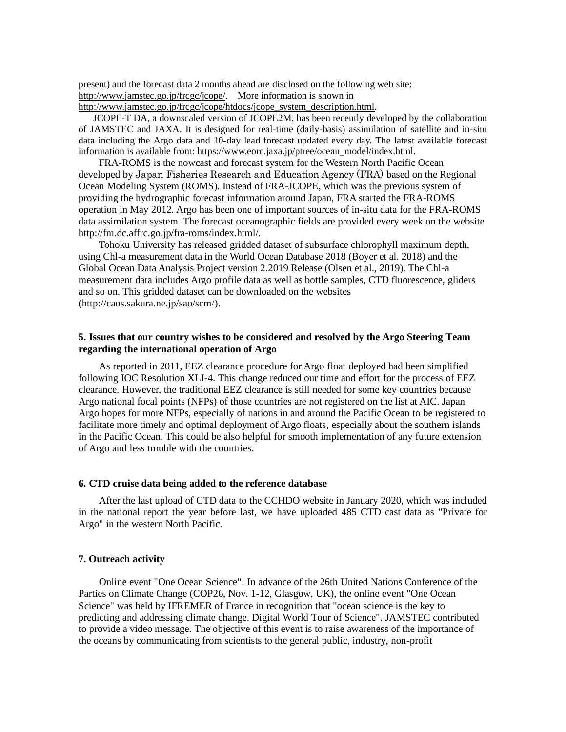present) and the forecast data 2 months ahead are disclosed on the following web site: [http://www.jamstec.go.jp/frcgc/jcope/.](http://www.jamstec.go.jp/frcgc/jcope/) More information is shown in [http://www.jamstec.go.jp/frcgc/jcope/htdocs/jcope\\_system\\_description.html.](http://www.jamstec.go.jp/frcgc/jcope/htdocs/jcope_system_description.html)

JCOPE-T DA, a downscaled version of JCOPE2M, has been recently developed by the collaboration of JAMSTEC and JAXA. It is designed for real-time (daily-basis) assimilation of satellite and in-situ data including the Argo data and 10-day lead forecast updated every day. The latest available forecast information is available from: [https://www.eorc.jaxa.jp/ptree/ocean\\_model/index.html.](https://www.eorc.jaxa.jp/ptree/ocean_model/index.html)

FRA-ROMS is the nowcast and forecast system for the Western North Pacific Ocean developed by Japan Fisheries Research and Education Agency (FRA) based on the Regional Ocean Modeling System (ROMS). Instead of FRA-JCOPE, which was the previous system of providing the hydrographic forecast information around Japan, FRA started the FRA-ROMS operation in May 2012. Argo has been one of important sources of in-situ data for the FRA-ROMS data assimilation system. The forecast oceanographic fields are provided every week on the website [http://fm.dc.affrc.go.jp/fra-roms/index.html/.](http://fm.dc.affrc.go.jp/fra-roms/index.html/)

Tohoku University has released gridded dataset of subsurface chlorophyll maximum depth, using Chl-a measurement data in the World Ocean Database 2018 (Boyer et al. 2018) and the Global Ocean Data Analysis Project version 2.2019 Release (Olsen et al., 2019). The Chl-a measurement data includes Argo profile data as well as bottle samples, CTD fluorescence, gliders and so on. This gridded dataset can be downloaded on the websites [\(http://caos.sakura.ne.jp/sao/scm/\)](http://caos.sakura.ne.jp/sao/scm/).

## **5. Issues that our country wishes to be considered and resolved by the Argo Steering Team regarding the international operation of Argo**

As reported in 2011, EEZ clearance procedure for Argo float deployed had been simplified following IOC Resolution XLI-4. This change reduced our time and effort for the process of EEZ clearance. However, the traditional EEZ clearance is still needed for some key countries because Argo national focal points (NFPs) of those countries are not registered on the list at AIC. Japan Argo hopes for more NFPs, especially of nations in and around the Pacific Ocean to be registered to facilitate more timely and optimal deployment of Argo floats, especially about the southern islands in the Pacific Ocean. This could be also helpful for smooth implementation of any future extension of Argo and less trouble with the countries.

#### **6. CTD cruise data being added to the reference database**

After the last upload of CTD data to the CCHDO website in January 2020, which was included in the national report the year before last, we have uploaded 485 CTD cast data as "Private for Argo" in the western North Pacific.

## **7. Outreach activity**

Online event "One Ocean Science": In advance of the 26th United Nations Conference of the Parties on Climate Change (COP26, Nov. 1-12, Glasgow, UK), the online event "One Ocean Science" was held by IFREMER of France in recognition that "ocean science is the key to predicting and addressing climate change. Digital World Tour of Science". JAMSTEC contributed to provide a video message. The objective of this event is to raise awareness of the importance of the oceans by communicating from scientists to the general public, industry, non-profit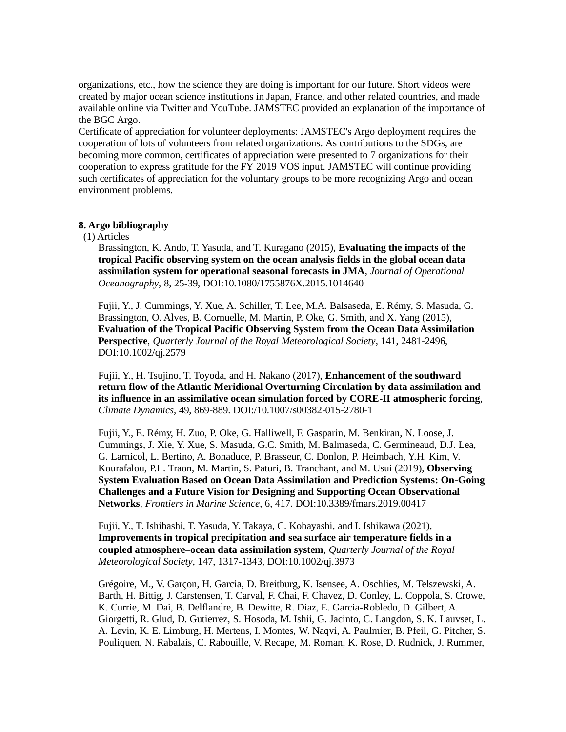organizations, etc., how the science they are doing is important for our future. Short videos were created by major ocean science institutions in Japan, France, and other related countries, and made available online via Twitter and YouTube. JAMSTEC provided an explanation of the importance of the BGC Argo.

Certificate of appreciation for volunteer deployments: JAMSTEC's Argo deployment requires the cooperation of lots of volunteers from related organizations. As contributions to the SDGs, are becoming more common, certificates of appreciation were presented to 7 organizations for their cooperation to express gratitude for the FY 2019 VOS input. JAMSTEC will continue providing such certificates of appreciation for the voluntary groups to be more recognizing Argo and ocean environment problems.

## **8. Argo bibliography**

## (1) Articles

Brassington, K. Ando, T. Yasuda, and T. Kuragano (2015), **Evaluating the impacts of the tropical Pacific observing system on the ocean analysis fields in the global ocean data assimilation system for operational seasonal forecasts in JMA**, *Journal of Operational Oceanography*, 8, 25-39, DOI:10.1080/1755876X.2015.1014640

Fujii, Y., J. Cummings, Y. Xue, A. Schiller, T. Lee, M.A. Balsaseda, E. Rémy, S. Masuda, G. Brassington, O. Alves, B. Cornuelle, M. Martin, P. Oke, G. Smith, and X. Yang (2015), **Evaluation of the Tropical Pacific Observing System from the Ocean Data Assimilation Perspective**, *Quarterly Journal of the Royal Meteorological Society*, 141, 2481-2496, DOI:10.1002/qj.2579

Fujii, Y., H. Tsujino, T. Toyoda, and H. Nakano (2017), **Enhancement of the southward return flow of the Atlantic Meridional Overturning Circulation by data assimilation and its influence in an assimilative ocean simulation forced by CORE-II atmospheric forcing**, *Climate Dynamics*, 49, 869-889. DOI:/10.1007/s00382-015-2780-1

Fujii, Y., E. Rémy, H. Zuo, P. Oke, G. Halliwell, F. Gasparin, M. Benkiran, N. Loose, J. Cummings, J. Xie, Y. Xue, S. Masuda, G.C. Smith, M. Balmaseda, C. Germineaud, D.J. Lea, G. Larnicol, L. Bertino, A. Bonaduce, P. Brasseur, C. Donlon, P. Heimbach, Y.H. Kim, V. Kourafalou, P.L. Traon, M. Martin, S. Paturi, B. Tranchant, and M. Usui (2019), **Observing System Evaluation Based on Ocean Data Assimilation and Prediction Systems: On-Going Challenges and a Future Vision for Designing and Supporting Ocean Observational Networks**, *Frontiers in Marine Science*, 6, 417. DOI:10.3389/fmars.2019.00417

Fujii, Y., T. Ishibashi, T. Yasuda, Y. Takaya, C. Kobayashi, and I. Ishikawa (2021), **Improvements in tropical precipitation and sea surface air temperature fields in a coupled atmosphere–ocean data assimilation system**, *Quarterly Journal of the Royal Meteorological Society*, 147, 1317-1343, DOI:10.1002/qj.3973

Grégoire, M., V. Garçon, H. Garcia, D. Breitburg, K. Isensee, A. Oschlies, M. Telszewski, A. Barth, H. Bittig, J. Carstensen, T. Carval, F. Chai, F. Chavez, D. Conley, L. Coppola, S. Crowe, K. Currie, M. Dai, B. Delflandre, B. Dewitte, R. Diaz, E. Garcia-Robledo, D. Gilbert, A. Giorgetti, R. Glud, D. Gutierrez, S. Hosoda, M. Ishii, G. Jacinto, C. Langdon, S. K. Lauvset, L. A. Levin, K. E. Limburg, H. Mertens, I. Montes, W. Naqvi, A. Paulmier, B. Pfeil, G. Pitcher, S. Pouliquen, N. Rabalais, C. Rabouille, V. Recape, M. Roman, K. Rose, D. Rudnick, J. Rummer,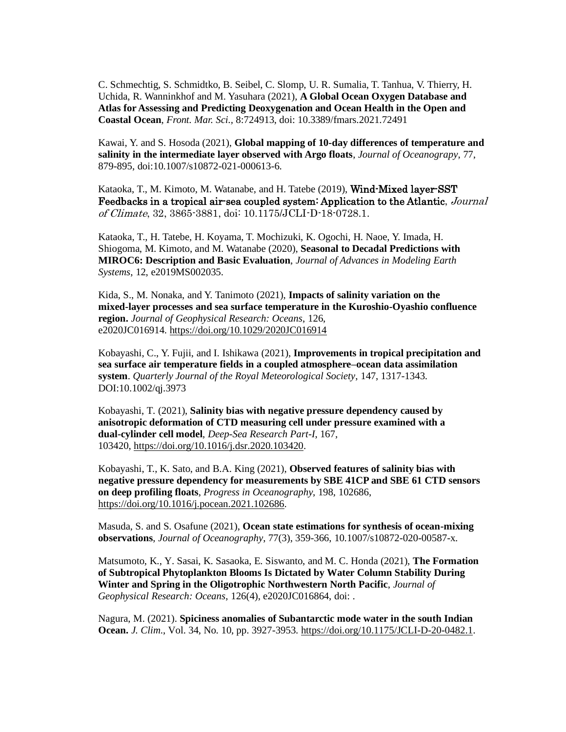C. Schmechtig, S. Schmidtko, B. Seibel, C. Slomp, U. R. Sumalia, T. Tanhua, V. Thierry, H. Uchida, R. Wanninkhof and M. Yasuhara (2021), **A Global Ocean Oxygen Database and Atlas for Assessing and Predicting Deoxygenation and Ocean Health in the Open and Coastal Ocean**, *Front. Mar. Sci.,* 8:724913, doi: 10.3389/fmars.2021.72491

Kawai, Y. and S. Hosoda (2021), **Global mapping of 10-day differences of temperature and salinity in the intermediate layer observed with Argo floats**, *Journal of Oceanograpy*, 77, 879-895, doi:10.1007/s10872-021-000613-6.

Kataoka, T., M. Kimoto, M. Watanabe, and H. Tatebe (2019), Wind-Mixed layer-SST Feedbacks in a tropical air-sea coupled system: Application to the Atlantic, Journal of Climate, 32, 3865-3881, doi: 10.1175/JCLI-D-18-0728.1.

Kataoka, T., H. Tatebe, H. Koyama, T. Mochizuki, K. Ogochi, H. Naoe, Y. Imada, H. Shiogoma, M. Kimoto, and M. Watanabe (2020), **Seasonal to Decadal Predictions with MIROC6: Description and Basic Evaluation**, *Journal of Advances in Modeling Earth Systems*, 12, e2019MS002035.

Kida, S., M. Nonaka, and Y. Tanimoto (2021), **Impacts of salinity variation on the mixed-layer processes and sea surface temperature in the Kuroshio-Oyashio confluence region.** *Journal of Geophysical Research: Oceans*, 126, e2020JC016914. <https://doi.org/10.1029/2020JC016914>

Kobayashi, C., Y. Fujii, and I. Ishikawa (2021), **Improvements in tropical precipitation and sea surface air temperature fields in a coupled atmosphere–ocean data assimilation system**. *Quarterly Journal of the Royal Meteorological Society*, 147, 1317-1343. DOI:10.1002/qj.3973

Kobayashi, T. (2021), **Salinity bias with negative pressure dependency caused by anisotropic deformation of CTD measuring cell under pressure examined with a dual-cylinder cell model**, *Deep-Sea Research Part-I*, 167, 103420, [https://doi.org/10.1016/j.dsr.2020.103420.](https://doi.org/10.1016/j.dsr.2020.103420)

Kobayashi, T., K. Sato, and B.A. King (2021), **Observed features of salinity bias with negative pressure dependency for measurements by SBE 41CP and SBE 61 CTD sensors on deep profiling floats**, *Progress in Oceanography*, 198, 102686, [https://doi.org/10.1016/j.pocean.2021.102686.](https://doi.org/10.1016/j.pocean.2021.102686)

Masuda, S. and S. Osafune (2021), **Ocean state estimations for synthesis of ocean-mixing observations**, *Journal of Oceanography*, 77(3), 359-366, 10.1007/s10872-020-00587-x.

Matsumoto, K., Y. Sasai, K. Sasaoka, E. Siswanto, and M. C. Honda (2021), **The Formation of Subtropical Phytoplankton Blooms Is Dictated by Water Column Stability During Winter and Spring in the Oligotrophic Northwestern North Pacific**, *Journal of Geophysical Research: Oceans*, 126(4), e2020JC016864, doi: .

Nagura, M. (2021). **Spiciness anomalies of Subantarctic mode water in the south Indian Ocean.** *J. Clim*., Vol. 34, No. 10, pp. 3927-3953. [https://doi.org/10.1175/JCLI-D-20-0482.1.](https://doi.org/10.1175/JCLI-D-20-0482.1)